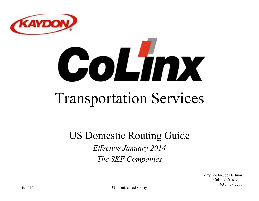

# CoLmx

# Transportation Services

#### US Domestic Routing Guide

*Effective January 2014 The SKF Companies* 

> Compiled by Joe Hallums CoLinx Crossville 931-459-5270

6/3/14 Uncontrolled Copy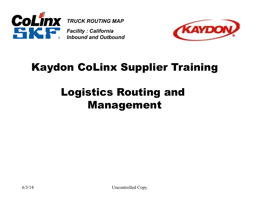



#### Kaydon CoLinx Supplier Training

#### Logistics Routing and Management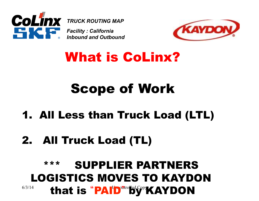



## What is CoLinx?

## Scope of Work

#### 1. All Less than Truck Load (LTL)

### 2. All Truck Load (TL)

#### 6/3/14 that is "PAID" by KAYDON \*\*\* SUPPLIER PARTNERS LOGISTICS MOVES TO KAYDON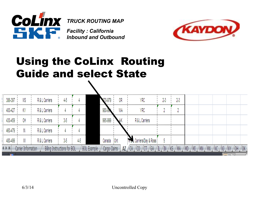



#### Using the CoLinx Routing Guide and select State

| 386-397        | MS | R&L(<br>Carriers |    |            |               |            | OR    | ⁄RC                   | 40 | 73 |  |  |  |
|----------------|----|------------------|----|------------|---------------|------------|-------|-----------------------|----|----|--|--|--|
| 400-42         | KY | R & L Carriers   |    |            |               |            | WA    | YRC                   |    |    |  |  |  |
| 430-459        | OH | R & L Carriers   |    |            |               | 995-999    |       | R & L Carriers        |    |    |  |  |  |
| 460-479        |    | R & L Carriers   |    |            |               |            |       |                       |    |    |  |  |  |
| 480-499        |    | R & L Carriers   | 35 | 47         |               | <br>Canada | - Ont | . Carriers/Day & Ross |    |    |  |  |  |
| $\blacksquare$ |    |                  |    | <b>BOI</b> | <b>Exampl</b> |            |       |                       |    |    |  |  |  |
| <b>STATE</b>   |    |                  |    |            |               |            |       |                       |    |    |  |  |  |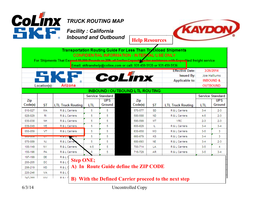

|                                       |              |                          |                  |                         |                                       |         |                       | <b>Effective Date:</b>                               |         | 3/26/2014               |
|---------------------------------------|--------------|--------------------------|------------------|-------------------------|---------------------------------------|---------|-----------------------|------------------------------------------------------|---------|-------------------------|
|                                       |              |                          |                  |                         |                                       |         |                       | <b>Issued By:</b>                                    |         | Joe Hallums             |
|                                       |              |                          |                  | <b>CoLinx</b>           |                                       |         | <b>Applicable to:</b> | <b>INBOUND &amp;</b>                                 |         |                         |
|                                       | Location(s): | Arizona                  |                  |                         |                                       |         |                       |                                                      |         | <b>OUTBOUND</b>         |
| <b>INBOUND / OUTBOUND LTL ROUTING</b> |              |                          |                  |                         |                                       |         |                       |                                                      |         |                         |
|                                       |              |                          |                  | <b>Service Standard</b> |                                       |         |                       |                                                      |         | <b>Service Standard</b> |
| Zip                                   |              |                          |                  | <b>UPS</b>              |                                       | Zip     |                       |                                                      |         | <b>UPS</b>              |
| Code(s)                               | ST           | <b>LTL Truck Routing</b> | LTL              | Ground                  |                                       | Code(s) | <b>ST</b>             | <b>LTL Truck Routing</b>                             | LTL     | Ground                  |
| 010-027                               | <b>MA</b>    | R & L Carriers           | 5                | 5                       |                                       | 570-577 | <b>SD</b>             | R & L Carriers                                       | $3 - 4$ | $2 - 3$                 |
| 028-029                               | RI           | R & L Carriers           | 5                | 5                       |                                       | 580-588 | <b>ND</b>             | R & L Carriers                                       | $4 - 5$ | $2 - 3$                 |
| 030-038                               | NΗ           | R & L Carriers           | 5                | 5                       |                                       | 590-599 | <b>MT</b>             | YRC                                                  | $2-3$   | $2 - 3$                 |
| 039-049                               | <b>ME</b>    | R & L Carriers           | 5                | 5                       |                                       | 600-629 | IL                    | R & L Carriers                                       | $3 - 4$ | $3-4$                   |
| 050-059                               | VT           | R & L Carriers           | 5                | 5                       |                                       | 630-658 | MO                    | R & L Carriers                                       | $3-5$   | з                       |
| uou-uoo                               | ◡            |                          | 5                | 5                       |                                       | 660-679 | κs                    | R & L Carriers                                       | $3-4$   | 3                       |
| 070-089                               | NJ           | R & L Carrier            | 5                | 5                       |                                       | 680-693 | <b>NE</b>             | R & L Carriers                                       | $3-4$   | $2 - 3$                 |
| 100-149                               | NY           | R & L Carriers           | $4 - 5$          | 5                       |                                       | 700-714 | LA                    | R & L Carriers                                       | $3 - 5$ | 4                       |
| 150-196                               | PA           | R & L Carriers           | 5                | 5                       |                                       | 716-729 | AR                    | R & L Carriers                                       | $3-5$   | $3 - 4$                 |
| 197-199                               | DE           | R&LC                     |                  |                         |                                       |         |                       |                                                      |         |                         |
| 200-205                               | DC           | R&LC                     | <b>Step ONE;</b> |                         |                                       |         |                       |                                                      |         |                         |
| 206-219                               | <b>MD</b>    | <b>R&amp;L</b>           |                  |                         | A) In Route Guide define the ZIP CODE |         |                       |                                                      |         |                         |
| 220-246                               | VA           | R&LC                     |                  |                         |                                       |         |                       |                                                      |         |                         |
| 247.268                               | WAZ.         | R <sub>1</sub>           |                  |                         |                                       |         |                       | B) With the Defined Carrier proceed to the next step |         |                         |

6/3/14 Uncontrolled Copy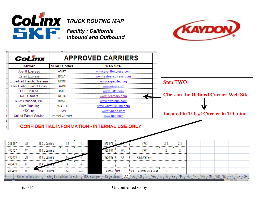

*Facility : California Inbound and Outbound*



|         | <b>CoLinx</b>                    |                       | <b>APPROVED CARRIERS</b>                            |                             |                           |                                              |     |  |  |  |  |  |
|---------|----------------------------------|-----------------------|-----------------------------------------------------|-----------------------------|---------------------------|----------------------------------------------|-----|--|--|--|--|--|
|         | Carrier                          | <b>SCAC Codes</b>     |                                                     | <b>Web Site</b>             |                           |                                              |     |  |  |  |  |  |
|         | <b>Averitt Express</b>           | <b>AVRT</b>           |                                                     | www.averittexpress.com      |                           |                                              |     |  |  |  |  |  |
|         | <b>Estes Express</b>             | EXLA                  |                                                     | www.estes-express.com       |                           |                                              |     |  |  |  |  |  |
|         | <b>Expedited Freight Systems</b> | <b>EXDF</b>           |                                                     | www.expedited.org           |                           | <b>Step TWO:</b>                             |     |  |  |  |  |  |
|         | Oak Harbor Freight Lines         | OAKH                  |                                                     | www.oakh.com                |                           |                                              |     |  |  |  |  |  |
|         | <b>USF Holland</b>               | <b>HMES</b>           |                                                     | www.usfc.com                |                           |                                              |     |  |  |  |  |  |
|         | <b>R&amp;L Carriers</b>          | <b>RLCA</b>           |                                                     | www.rlcarriers.com          |                           | <b>Click on the Defined Carrier Web Site</b> |     |  |  |  |  |  |
|         | RJW Transport, INC               | <b>RJWL</b>           |                                                     | www.rjwgroup.com            |                           |                                              |     |  |  |  |  |  |
|         | <b>Ward Trucking</b>             | WARD                  |                                                     | <u>www.wardtrucking.com</u> |                           |                                              |     |  |  |  |  |  |
|         | YRC Inc.                         | <b>RDWY</b>           | <u>www.yrcinc.com</u>                               |                             |                           |                                              |     |  |  |  |  |  |
|         | <b>United Parcel Service</b>     | <b>Parcel Carrier</b> |                                                     | www.ups.com                 |                           | <b>Located in Tab #1 Carrier in Tab One</b>  |     |  |  |  |  |  |
|         |                                  |                       |                                                     |                             |                           |                                              |     |  |  |  |  |  |
|         |                                  |                       | <b>CONFIDENTIAL INFORMATION - INTERNAL USE ONLY</b> |                             |                           |                                              |     |  |  |  |  |  |
| 386-397 | МS<br>R & L Carriers             | 4-5                   |                                                     | 970-979                     | YRC                       | 2-3                                          | 2-3 |  |  |  |  |  |
| 400-427 | R & L Carriers<br>KY             |                       |                                                     | 980-994<br>WА               | YRC                       |                                              |     |  |  |  |  |  |
| 430-459 | R & L Carriers<br>OH             |                       |                                                     | 995-999<br>АK               | R & L Carriers            |                                              |     |  |  |  |  |  |
| 460-479 | R&L Care<br>IN                   |                       |                                                     |                             |                           |                                              |     |  |  |  |  |  |
| 480-499 | R & L Carriers<br>MI             | 3-5                   | 4-5                                                 | Canada Ont                  | R & L Carriers/Day & Ross |                                              |     |  |  |  |  |  |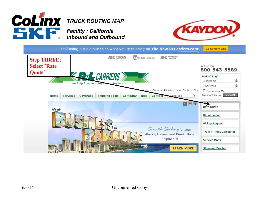

*Inbound and Outbound*



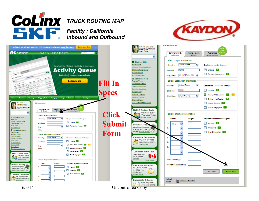

*Inbound and Outbound*



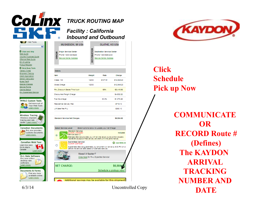

Click and Ship

Volume Truckload Quote

Offshore Rate Quote Bill of Lading Pickup Request More Eway Tools Transit Times

Shipment Tracing

Credit Application Density Calculator

Rules Tariff Special Charges

Service Points Claims Status R+L Guaranteed Service

**MYRLC Custom Tools** Get more out of Your Web Tools. Learn more

**Wireless Tracing** Wireless shipment

tracing and rate quote. Learn more

Rate Quote

*Facility : California Inbound and Outbound*

DESTINATION

12000

12000

Select options below to undate your Net Charge

Standard Service provides you with all the value you've come to expect,<br>Illise 99.6% exception-free delivery and 98% on-time performance.

Guaranteed Service guarantees your shipment will arrive by 9:00 PM on or<br>before the service date based on standard service.

Click Here for R+L Expedited Service!

Need it faster?

**OLATHE, KS USA** 

**Destination Service Center** 

Phone 1-800-685-2440

Service Center Address

**Rafe** 

\$107.91

Charge

\$12,949.20

\$12,949.20

\$8,934.83

Included

**C** Add \$908.44

\$6,984.6

#### **MUSKEGON, MI USA**  $\overline{\mathbf{v}}$ Origin Service Center **GIN** Phone 1-800-433-6283 홍 Service Center Address Details: **Bern** Welght Class: 100 Gross Charge

| R+L Discount Saves This Much     | 65%   | $-88.416.98$ |
|----------------------------------|-------|--------------|
| <b>Discounted Freight Charge</b> |       | 84,532.22    |
| Fuel Surcharge                   | 30.3% | 81.373.26    |
| Residential Delivery Fee         |       | 8719.10      |
| Lift Gate Fee PAU                |       | \$360.10     |

Standard Service Net Charges

Select Service Level

**NET CHARGE:** 

 $\circledcirc$ 

О

Standard Service

**Guaranteed Service** 

Quote #: 20978367

**Inte** # Service Days: 2

**Canadian Documents BLA** R+L now provides customs documents. Learn more









Schedule a pickup now



#### **Click Schedule Pick up Now**

**COMMUNICATE OR RECORD Route # (Defines) The KAYDON ARRIVAL TRACKING NUMBER AND DATE**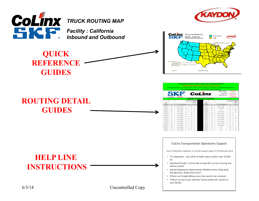





#### **ROUTING DETAIL GUIDES**

#### **HELP LINE INSTRUCTIONS**

6/3/14 Uncontrolled Copy



| <b>Transportation Routing Guide For Less Than Truckload Shipments</b><br><b>CONFIDENTIAL INFORMATION - INTERNAL USE ONLY</b><br>For Shipments That Exceed 19,999 Pounds or 20ft of Trailer Capacity or for assistance with Expedited freight service<br>Email: skftranshelp@colinx.com or call: 931-459-5135 or 931-459-5136 |              |                          |          |                         |  |                                       |                   |                          |                         |                             |  |
|------------------------------------------------------------------------------------------------------------------------------------------------------------------------------------------------------------------------------------------------------------------------------------------------------------------------------|--------------|--------------------------|----------|-------------------------|--|---------------------------------------|-------------------|--------------------------|-------------------------|-----------------------------|--|
|                                                                                                                                                                                                                                                                                                                              |              |                          |          |                         |  |                                       |                   | <b>Effective Date:</b>   | 3/26/2014               |                             |  |
|                                                                                                                                                                                                                                                                                                                              |              |                          | CoLinx   |                         |  |                                       | <b>Issued By:</b> | Joe Hallums              |                         |                             |  |
|                                                                                                                                                                                                                                                                                                                              |              |                          |          |                         |  |                                       |                   | <b>Applicable to:</b>    |                         | <b>INBOUND &amp;</b>        |  |
|                                                                                                                                                                                                                                                                                                                              | Location(s): | Arizona                  |          |                         |  |                                       |                   |                          | <b>OUTBOUND</b>         |                             |  |
|                                                                                                                                                                                                                                                                                                                              |              |                          |          |                         |  | <b>INBOUND / OUTBOUND LTL ROUTING</b> |                   |                          |                         |                             |  |
|                                                                                                                                                                                                                                                                                                                              |              |                          |          | <b>Service Standard</b> |  |                                       |                   |                          | <b>Service Standard</b> |                             |  |
| Zip<br>Code(s)                                                                                                                                                                                                                                                                                                               | <b>ST</b>    | <b>LTL Truck Routing</b> | LTL      | <b>UPS</b><br>Ground    |  | Zip<br>Code(s)                        | <b>ST</b>         | <b>LTL Truck Routing</b> | ГTI                     | <b>UPS</b><br><b>Ground</b> |  |
| 010-027                                                                                                                                                                                                                                                                                                                      | MA           | R & L Carriers           | ś        | ς                       |  | 570-577                               | SD                | R & L Carriers           | $3 - 4$                 | $2 - 3$                     |  |
| 028-029                                                                                                                                                                                                                                                                                                                      |              | R & L Carriers           | s        |                         |  | 580-588                               | мn                | R & L Carriers           | 4.5                     | $2-3$                       |  |
| 030-038                                                                                                                                                                                                                                                                                                                      | мн           | R & L Carriers           | ç        |                         |  | 590-599                               | MТ                | YRC                      | $2-3$                   | $2-3$                       |  |
| 039-049                                                                                                                                                                                                                                                                                                                      | ME           | R & L Carriers           | S        |                         |  | 600-629                               |                   | R & L Carriers           | $3 - 4$                 | $3 - 4$                     |  |
| 050-059                                                                                                                                                                                                                                                                                                                      | vт           | R & L Carriers           | S        | s                       |  | 630-658                               | MO                | R & L Carriers           | $3 - 5$                 | з                           |  |
| 060-069                                                                                                                                                                                                                                                                                                                      | CT           | R & L Carriers           | 5        | s                       |  | 660-679                               | KS                | R & L Carriers           | $3 - 4$                 | 3                           |  |
| 070-089                                                                                                                                                                                                                                                                                                                      | NJ           | R & L Carriers           | ś        | ۹                       |  | 680,693                               | NE                | R & L Carriers           | 3.4                     | $2-3$                       |  |
| 100-149                                                                                                                                                                                                                                                                                                                      | NY           | R & L Carriers           | $4 - 5$  | Ś                       |  | 700-714                               | LA                | R & L Carriers           | $3 - 5$                 | 4                           |  |
| 150-196                                                                                                                                                                                                                                                                                                                      | PΔ           | R & L Carriers           | s        | s                       |  | 716,729                               | AR                | R & L Carriers           | 3.5                     | $3 - 4$                     |  |
| 197-199                                                                                                                                                                                                                                                                                                                      | DE           | R & L Carriers           | Ś        |                         |  | 730-749                               | OK                | R & L Carriers           |                         | 3                           |  |
| 200-205                                                                                                                                                                                                                                                                                                                      | DC           | R & L Carriers           | S        | s                       |  | 750-799<br>.                          | ТX                | R & L Carriers           | 3.4                     | 3                           |  |
| 206-219                                                                                                                                                                                                                                                                                                                      | <b>MD</b>    | R & L Carriers           |          |                         |  | 800-816                               | co                | /RC                      | $2 - 3$                 | <br>$\overline{2}$          |  |
| 220-246<br>                                                                                                                                                                                                                                                                                                                  | VA           | Carriers<br>             | 4.5<br>. |                         |  | 820-831<br>                           | wv<br>.           | <b>YRC</b><br>           | $2-3$                   | $1 - 2$                     |  |
| 247.200                                                                                                                                                                                                                                                                                                                      | 150.6        | D.R.I. Carriers          |          | r e                     |  | 022.020                               |                   | vor                      | 4.9                     | <br>12                      |  |

#### **CoLinx Transportation Operations Support**

CoLinx Transportation Operations will provide necessary support for the following criteria

- FTL shipments over 20 ft of trailer space and/or over 19,999 Ibs
- Expedited freight CoLinx will arrange the carrier, tracking and delivery detail
- Special equipment requirements (Flatbed trailer, Drop deck, Refrigeration, Dedicated trailer)
- If there are freight billing issues that need to be resolved
- If there are any issues with the CoLinx preferred carriers at your facility